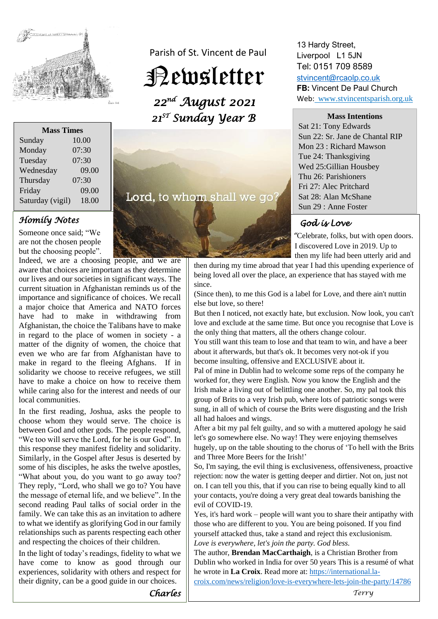

| <b>Mass Times</b> |       |
|-------------------|-------|
| Sunday            | 10.00 |
| Monday            | 07:30 |
| Tuesday           | 07:30 |
| Wednesday         | 09.00 |
| Thursday          | 07:30 |
| Friday            | 09.00 |
| Saturday (vigil)  | 18.00 |

#### *Homily Notes*

Someone once said; "We are not the chosen people but the choosing people".

Indeed, we are a choosing people, and we are aware that choices are important as they determine our lives and our societies in significant ways. The current situation in Afghanistan reminds us of the importance and significance of choices. We recall a major choice that America and NATO forces have had to make in withdrawing from Afghanistan, the choice the Talibans have to make in regard to the place of women in society - a matter of the dignity of women, the choice that even we who are far from Afghanistan have to make in regard to the fleeing Afghans. If in solidarity we choose to receive refugees, we still have to make a choice on how to receive them while caring also for the interest and needs of our local communities.

In the first reading, Joshua, asks the people to choose whom they would serve. The choice is between God and other gods. The people respond, "We too will serve the Lord, for he is our God". In this response they manifest fidelity and solidarity. Similarly, in the Gospel after Jesus is deserted by some of his disciples, he asks the twelve apostles, "What about you, do you want to go away too? They reply, "Lord, who shall we go to? You have the message of eternal life, and we believe". In the second reading Paul talks of social order in the family. We can take this as an invitation to adhere to what we identify as glorifying God in our family relationships such as parents respecting each other and respecting the choices of their children.

In the light of today's readings, fidelity to what we have come to know as good through our experiences, solidarity with others and respect for their dignity, can be a good guide in our choices.

Parish of St. Vincent de Paul

# Newsletter

*22nd August 2021 21ST Sunday Year B* 

Lord, to whom shall we go

#### 13 Hardy Street, Liverpool L1 5JN Tel: 0151 709 8589

[stvincent@rcaolp.co.uk](mailto:stvincent@rcaolp.co.uk) **FB:** Vincent De Paul Church Web: www.stvincentsparish.org.uk

**Mass Intentions**

Sat 21: Tony Edwards Sun 22: Sr. Jane de Chantal RIP Mon 23 : Richard Mawson Tue 24: Thanksgiving Wed 25:Gillian Housbey Thu 26: Parishioners Fri 27: Alec Pritchard Sat 28: Alan McShane Sun 29 : Anne Foster

# *God is Love*

 *"*Celebrate, folks, but with open doors. I discovered Love in 2019. Up to then my life had been utterly arid and

then during my time abroad that year I had this upending experience of being loved all over the place, an experience that has stayed with me since.

(Since then), to me this God is a label for Love, and there ain't nuttin else but love, so there!

But then I noticed, not exactly hate, but exclusion. Now look, you can't love and exclude at the same time. But once you recognise that Love is the only thing that matters, all the others change colour.

You still want this team to lose and that team to win, and have a beer about it afterwards, but that's ok. It becomes very not-ok if you become insulting, offensive and EXCLUSIVE about it.

Pal of mine in Dublin had to welcome some reps of the company he worked for, they were English. Now you know the English and the Irish make a living out of belittling one another. So, my pal took this group of Brits to a very Irish pub, where lots of patriotic songs were sung, in all of which of course the Brits were disgusting and the Irish all had haloes and wings.

After a bit my pal felt guilty, and so with a muttered apology he said let's go somewhere else. No way! They were enjoying themselves hugely, up on the table shouting to the chorus of 'To hell with the Brits and Three More Beers for the Irish!'

So, I'm saying, the evil thing is exclusiveness, offensiveness, proactive rejection: now the water is getting deeper and dirtier. Not on, just not on. I can tell you this, that if you can rise to being equally kind to all your contacts, you're doing a very great deal towards banishing the evil of COVID-19.

Yes, it's hard work – people will want you to share their antipathy with those who are different to you. You are being poisoned. If you find yourself attacked thus, take a stand and reject this exclusionism. *Love is everywhere, let's join the party. God bless.*

The author, **Brendan MacCarthaigh**, is a Christian Brother from Dublin who worked in India for over 50 years This is a resumé of what he wrote in La Croix. Read more at: [https://international.la-](https://international.la-croix.com/news/religion/love-is-everywhere-lets-join-the-party/14786)

[croix.com/news/religion/love-is-everywhere-lets-join-the-party/14786](https://international.la-croix.com/news/religion/love-is-everywhere-lets-join-the-party/14786)

*Charles* 

*Terry*